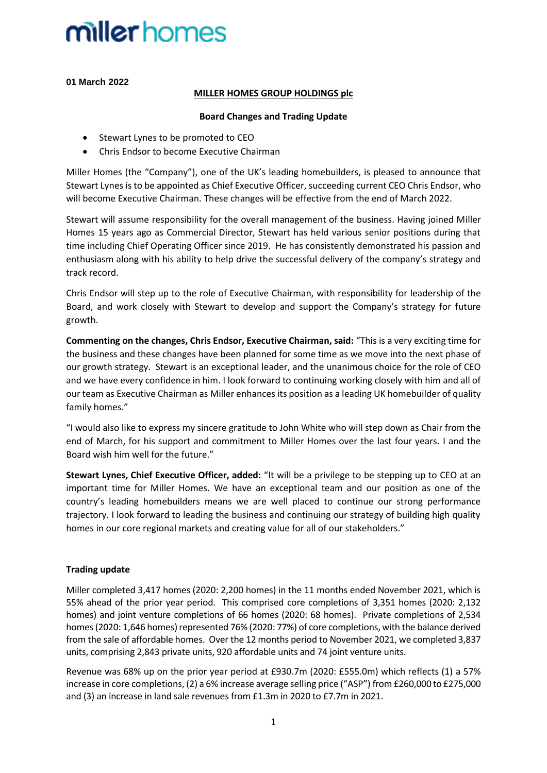**01 March 2022**

#### **MILLER HOMES GROUP HOLDINGS plc**

#### **Board Changes and Trading Update**

- Stewart Lynes to be promoted to CEO
- Chris Endsor to become Executive Chairman

Miller Homes (the "Company"), one of the UK's leading homebuilders, is pleased to announce that Stewart Lynes is to be appointed as Chief Executive Officer, succeeding current CEO Chris Endsor, who will become Executive Chairman. These changes will be effective from the end of March 2022.

Stewart will assume responsibility for the overall management of the business. Having joined Miller Homes 15 years ago as Commercial Director, Stewart has held various senior positions during that time including Chief Operating Officer since 2019. He has consistently demonstrated his passion and enthusiasm along with his ability to help drive the successful delivery of the company's strategy and track record.

Chris Endsor will step up to the role of Executive Chairman, with responsibility for leadership of the Board, and work closely with Stewart to develop and support the Company's strategy for future growth.

**Commenting on the changes, Chris Endsor, Executive Chairman, said:** "This is a very exciting time for the business and these changes have been planned for some time as we move into the next phase of our growth strategy. Stewart is an exceptional leader, and the unanimous choice for the role of CEO and we have every confidence in him. I look forward to continuing working closely with him and all of our team as Executive Chairman as Miller enhances its position as a leading UK homebuilder of quality family homes."

"I would also like to express my sincere gratitude to John White who will step down as Chair from the end of March, for his support and commitment to Miller Homes over the last four years. I and the Board wish him well for the future."

**Stewart Lynes, Chief Executive Officer, added:** "It will be a privilege to be stepping up to CEO at an important time for Miller Homes. We have an exceptional team and our position as one of the country's leading homebuilders means we are well placed to continue our strong performance trajectory. I look forward to leading the business and continuing our strategy of building high quality homes in our core regional markets and creating value for all of our stakeholders."

### **Trading update**

Miller completed 3,417 homes (2020: 2,200 homes) in the 11 months ended November 2021, which is 55% ahead of the prior year period. This comprised core completions of 3,351 homes (2020: 2,132 homes) and joint venture completions of 66 homes (2020: 68 homes). Private completions of 2,534 homes (2020: 1,646 homes) represented 76% (2020: 77%) of core completions, with the balance derived from the sale of affordable homes. Over the 12 months period to November 2021, we completed 3,837 units, comprising 2,843 private units, 920 affordable units and 74 joint venture units.

Revenue was 68% up on the prior year period at £930.7m (2020: £555.0m) which reflects (1) a 57% increase in core completions, (2) a 6% increase average selling price ("ASP") from £260,000 to £275,000 and (3) an increase in land sale revenues from £1.3m in 2020 to £7.7m in 2021.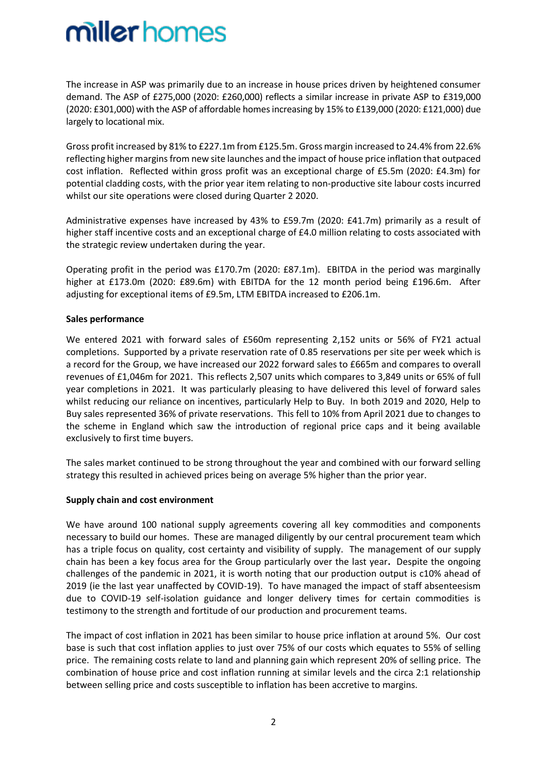The increase in ASP was primarily due to an increase in house prices driven by heightened consumer demand. The ASP of £275,000 (2020: £260,000) reflects a similar increase in private ASP to £319,000 (2020: £301,000) with the ASP of affordable homes increasing by 15% to £139,000 (2020: £121,000) due largely to locational mix.

Gross profit increased by 81% to £227.1m from £125.5m. Gross margin increased to 24.4% from 22.6% reflecting higher margins from new site launches and the impact of house price inflation that outpaced cost inflation. Reflected within gross profit was an exceptional charge of £5.5m (2020: £4.3m) for potential cladding costs, with the prior year item relating to non-productive site labour costs incurred whilst our site operations were closed during Quarter 2 2020.

Administrative expenses have increased by 43% to £59.7m (2020: £41.7m) primarily as a result of higher staff incentive costs and an exceptional charge of £4.0 million relating to costs associated with the strategic review undertaken during the year.

Operating profit in the period was £170.7m (2020: £87.1m). EBITDA in the period was marginally higher at £173.0m (2020: £89.6m) with EBITDA for the 12 month period being £196.6m. After adjusting for exceptional items of £9.5m, LTM EBITDA increased to £206.1m.

#### **Sales performance**

We entered 2021 with forward sales of £560m representing 2,152 units or 56% of FY21 actual completions. Supported by a private reservation rate of 0.85 reservations per site per week which is a record for the Group, we have increased our 2022 forward sales to £665m and compares to overall revenues of £1,046m for 2021. This reflects 2,507 units which compares to 3,849 units or 65% of full year completions in 2021. It was particularly pleasing to have delivered this level of forward sales whilst reducing our reliance on incentives, particularly Help to Buy. In both 2019 and 2020, Help to Buy sales represented 36% of private reservations. This fell to 10% from April 2021 due to changes to the scheme in England which saw the introduction of regional price caps and it being available exclusively to first time buyers.

The sales market continued to be strong throughout the year and combined with our forward selling strategy this resulted in achieved prices being on average 5% higher than the prior year.

#### **Supply chain and cost environment**

We have around 100 national supply agreements covering all key commodities and components necessary to build our homes. These are managed diligently by our central procurement team which has a triple focus on quality, cost certainty and visibility of supply. The management of our supply chain has been a key focus area for the Group particularly over the last year**.** Despite the ongoing challenges of the pandemic in 2021, it is worth noting that our production output is c10% ahead of 2019 (ie the last year unaffected by COVID-19). To have managed the impact of staff absenteesism due to COVID-19 self-isolation guidance and longer delivery times for certain commodities is testimony to the strength and fortitude of our production and procurement teams.

The impact of cost inflation in 2021 has been similar to house price inflation at around 5%. Our cost base is such that cost inflation applies to just over 75% of our costs which equates to 55% of selling price. The remaining costs relate to land and planning gain which represent 20% of selling price. The combination of house price and cost inflation running at similar levels and the circa 2:1 relationship between selling price and costs susceptible to inflation has been accretive to margins.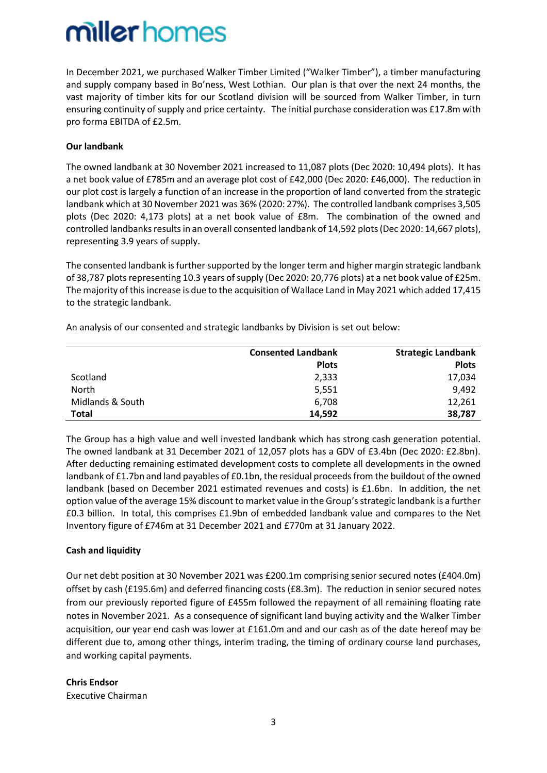In December 2021, we purchased Walker Timber Limited ("Walker Timber"), a timber manufacturing and supply company based in Bo'ness, West Lothian. Our plan is that over the next 24 months, the vast majority of timber kits for our Scotland division will be sourced from Walker Timber, in turn ensuring continuity of supply and price certainty. The initial purchase consideration was £17.8m with pro forma EBITDA of £2.5m.

### **Our landbank**

The owned landbank at 30 November 2021 increased to 11,087 plots (Dec 2020: 10,494 plots). It has a net book value of £785m and an average plot cost of £42,000 (Dec 2020: £46,000). The reduction in our plot cost is largely a function of an increase in the proportion of land converted from the strategic landbank which at 30 November 2021 was 36% (2020: 27%). The controlled landbank comprises 3,505 plots (Dec 2020: 4,173 plots) at a net book value of £8m. The combination of the owned and controlled landbanks results in an overall consented landbank of 14,592 plots (Dec 2020: 14,667 plots), representing 3.9 years of supply.

The consented landbank is further supported by the longer term and higher margin strategic landbank of 38,787 plots representing 10.3 years of supply (Dec 2020: 20,776 plots) at a net book value of £25m. The majority of this increase is due to the acquisition of Wallace Land in May 2021 which added 17,415 to the strategic landbank.

An analysis of our consented and strategic landbanks by Division is set out below:

|                  | <b>Consented Landbank</b> | <b>Strategic Landbank</b> |
|------------------|---------------------------|---------------------------|
|                  | <b>Plots</b>              | <b>Plots</b>              |
| Scotland         | 2,333                     | 17,034                    |
| <b>North</b>     | 5,551                     | 9,492                     |
| Midlands & South | 6.708                     | 12,261                    |
| Total            | 14.592                    | 38,787                    |

The Group has a high value and well invested landbank which has strong cash generation potential. The owned landbank at 31 December 2021 of 12,057 plots has a GDV of £3.4bn (Dec 2020: £2.8bn). After deducting remaining estimated development costs to complete all developments in the owned landbank of £1.7bn and land payables of £0.1bn, the residual proceeds from the buildout of the owned landbank (based on December 2021 estimated revenues and costs) is £1.6bn. In addition, the net option value of the average 15% discount to market value in the Group's strategic landbank is a further £0.3 billion. In total, this comprises £1.9bn of embedded landbank value and compares to the Net Inventory figure of £746m at 31 December 2021 and £770m at 31 January 2022.

### **Cash and liquidity**

Our net debt position at 30 November 2021 was £200.1m comprising senior secured notes (£404.0m) offset by cash (£195.6m) and deferred financing costs (£8.3m). The reduction in senior secured notes from our previously reported figure of £455m followed the repayment of all remaining floating rate notes in November 2021. As a consequence of significant land buying activity and the Walker Timber acquisition, our year end cash was lower at £161.0m and and our cash as of the date hereof may be different due to, among other things, interim trading, the timing of ordinary course land purchases, and working capital payments.

### **Chris Endsor**

Executive Chairman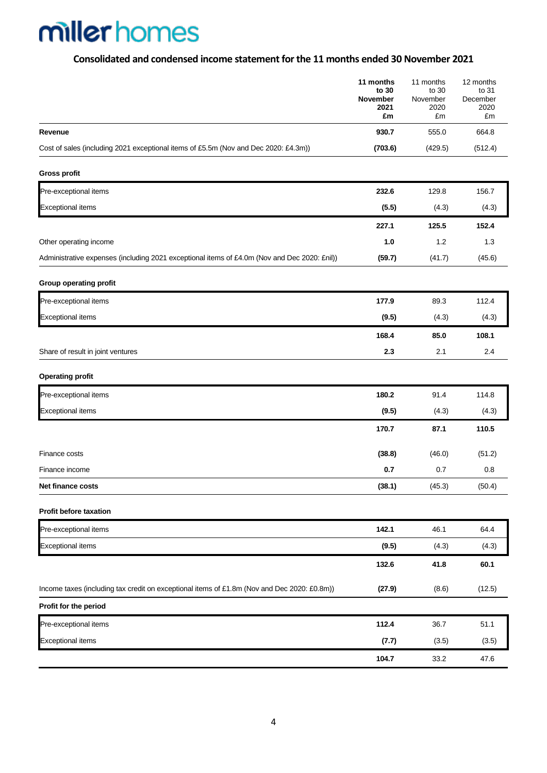## **Consolidated and condensed income statementfor the 11 months ended 30 November 2021**

|                                                                                              | 11 months<br>to 30<br>November<br>2021<br>£m | 11 months<br>to 30<br>November<br>2020<br>£m | 12 months<br>to 31<br>December<br>2020<br>£m |
|----------------------------------------------------------------------------------------------|----------------------------------------------|----------------------------------------------|----------------------------------------------|
| Revenue                                                                                      | 930.7                                        | 555.0                                        | 664.8                                        |
| Cost of sales (including 2021 exceptional items of £5.5m (Nov and Dec 2020: £4.3m))          | (703.6)                                      | (429.5)                                      | (512.4)                                      |
| <b>Gross profit</b>                                                                          |                                              |                                              |                                              |
| Pre-exceptional items                                                                        | 232.6                                        | 129.8                                        | 156.7                                        |
| <b>Exceptional items</b>                                                                     | (5.5)                                        | (4.3)                                        | (4.3)                                        |
|                                                                                              | 227.1                                        | 125.5                                        | 152.4                                        |
| Other operating income                                                                       | 1.0                                          | 1.2                                          | 1.3                                          |
| Administrative expenses (including 2021 exceptional items of £4.0m (Nov and Dec 2020: £nil)) | (59.7)                                       | (41.7)                                       | (45.6)                                       |
| Group operating profit                                                                       |                                              |                                              |                                              |
| Pre-exceptional items                                                                        | 177.9                                        | 89.3                                         | 112.4                                        |
| <b>Exceptional items</b>                                                                     | (9.5)                                        | (4.3)                                        | (4.3)                                        |
|                                                                                              | 168.4                                        | 85.0                                         | 108.1                                        |
| Share of result in joint ventures                                                            | 2.3                                          | 2.1                                          | 2.4                                          |
| <b>Operating profit</b>                                                                      |                                              |                                              |                                              |
| Pre-exceptional items                                                                        | 180.2                                        | 91.4                                         | 114.8                                        |
| <b>Exceptional items</b>                                                                     | (9.5)                                        | (4.3)                                        | (4.3)                                        |
|                                                                                              | 170.7                                        | 87.1                                         | 110.5                                        |
| Finance costs                                                                                | (38.8)                                       | (46.0)                                       | (51.2)                                       |
| Finance income                                                                               | 0.7                                          | 0.7                                          | 0.8                                          |
| Net finance costs                                                                            | (38.1)                                       | (45.3)                                       | (50.4)                                       |
| Profit before taxation                                                                       |                                              |                                              |                                              |
| Pre-exceptional items                                                                        | 142.1                                        | 46.1                                         | 64.4                                         |
| <b>Exceptional items</b>                                                                     | (9.5)                                        | (4.3)                                        | (4.3)                                        |
|                                                                                              | 132.6                                        | 41.8                                         | 60.1                                         |
| Income taxes (including tax credit on exceptional items of £1.8m (Nov and Dec 2020: £0.8m))  | (27.9)                                       | (8.6)                                        | (12.5)                                       |
| Profit for the period                                                                        |                                              |                                              |                                              |
| Pre-exceptional items                                                                        | 112.4                                        | 36.7                                         | 51.1                                         |
| <b>Exceptional items</b>                                                                     | (7.7)                                        | (3.5)                                        | (3.5)                                        |
|                                                                                              | 104.7                                        | 33.2                                         | 47.6                                         |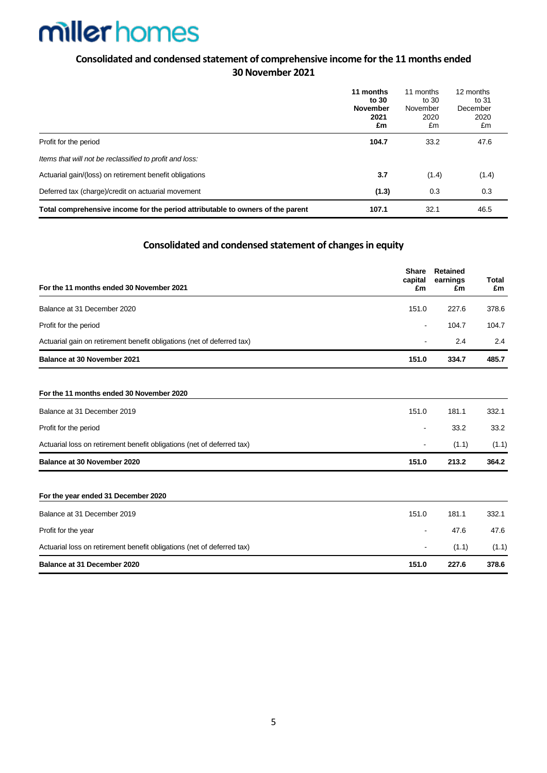### **Consolidated and condensed statement of comprehensive income for the 11 months ended 30 November 2021**

|                                                                                | 11 months<br>to 30<br><b>November</b><br>2021<br>£m | 11 months<br>to 30<br>November<br>2020<br>£m | 12 months<br>to 31<br>December<br>2020<br>£m |
|--------------------------------------------------------------------------------|-----------------------------------------------------|----------------------------------------------|----------------------------------------------|
| Profit for the period                                                          | 104.7                                               | 33.2                                         | 47.6                                         |
| Items that will not be reclassified to profit and loss:                        |                                                     |                                              |                                              |
| Actuarial gain/(loss) on retirement benefit obligations                        | 3.7                                                 | (1.4)                                        | (1.4)                                        |
| Deferred tax (charge)/credit on actuarial movement                             | (1.3)                                               | 0.3                                          | 0.3                                          |
| Total comprehensive income for the period attributable to owners of the parent | 107.1                                               | 32.1                                         | 46.5                                         |

### **Consolidated and condensed statement of changes in equity**

| For the 11 months ended 30 November 2021                               | <b>Share</b><br>capital<br>£m | <b>Retained</b><br>earnings<br>£m | Total<br>£m |
|------------------------------------------------------------------------|-------------------------------|-----------------------------------|-------------|
| Balance at 31 December 2020                                            | 151.0                         | 227.6                             | 378.6       |
| Profit for the period                                                  | $\overline{a}$                | 104.7                             | 104.7       |
| Actuarial gain on retirement benefit obligations (net of deferred tax) |                               | 2.4                               | 2.4         |
| Balance at 30 November 2021                                            | 151.0                         | 334.7                             | 485.7       |
| For the 11 months ended 30 November 2020                               |                               |                                   |             |
| Balance at 31 December 2019                                            | 151.0                         | 181.1                             | 332.1       |
| Profit for the period                                                  | $\overline{\phantom{a}}$      | 33.2                              | 33.2        |
| Actuarial loss on retirement benefit obligations (net of deferred tax) |                               | (1.1)                             | (1.1)       |
| Balance at 30 November 2020                                            | 151.0                         | 213.2                             | 364.2       |
| For the year ended 31 December 2020                                    |                               |                                   |             |
| Balance at 31 December 2019                                            | 151.0                         | 181.1                             | 332.1       |
| Profit for the year                                                    | ۰                             | 47.6                              | 47.6        |
| Actuarial loss on retirement benefit obligations (net of deferred tax) |                               | (1.1)                             | (1.1)       |
| Balance at 31 December 2020                                            | 151.0                         | 227.6                             | 378.6       |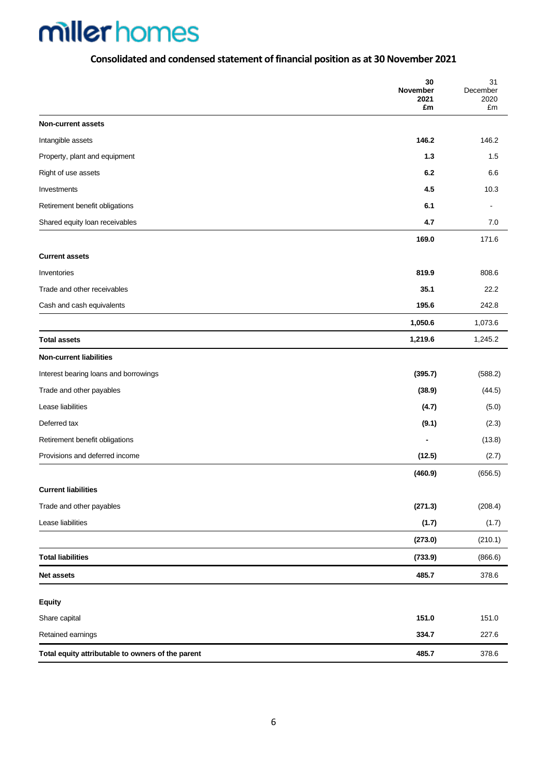## **Consolidated and condensed statement of financial position as at 30 November 2021**

|                                                   | 30<br>November<br>2021<br>£m | 31<br>December<br>2020<br>£m |
|---------------------------------------------------|------------------------------|------------------------------|
| <b>Non-current assets</b>                         |                              |                              |
| Intangible assets                                 | 146.2                        | 146.2                        |
| Property, plant and equipment                     | $1.3$                        | 1.5                          |
| Right of use assets                               | 6.2                          | 6.6                          |
| Investments                                       | 4.5                          | 10.3                         |
| Retirement benefit obligations                    | 6.1                          | $\blacksquare$               |
| Shared equity loan receivables                    | 4.7                          | 7.0                          |
|                                                   | 169.0                        | 171.6                        |
| <b>Current assets</b>                             |                              |                              |
| Inventories                                       | 819.9                        | 808.6                        |
| Trade and other receivables                       | 35.1                         | 22.2                         |
| Cash and cash equivalents                         | 195.6                        | 242.8                        |
|                                                   | 1,050.6                      | 1,073.6                      |
| <b>Total assets</b>                               | 1,219.6                      | 1,245.2                      |
| <b>Non-current liabilities</b>                    |                              |                              |
| Interest bearing loans and borrowings             | (395.7)                      | (588.2)                      |
| Trade and other payables                          | (38.9)                       | (44.5)                       |
| Lease liabilities                                 | (4.7)                        | (5.0)                        |
| Deferred tax                                      | (9.1)                        | (2.3)                        |
| Retirement benefit obligations                    |                              | (13.8)                       |
| Provisions and deferred income                    | (12.5)                       | (2.7)                        |
|                                                   | (460.9)                      | (656.5)                      |
| <b>Current liabilities</b>                        |                              |                              |
| Trade and other payables                          | (271.3)                      | (208.4)                      |
| Lease liabilities                                 | (1.7)                        | (1.7)                        |
|                                                   | (273.0)                      | (210.1)                      |
| <b>Total liabilities</b>                          | (733.9)                      | (866.6)                      |
| <b>Net assets</b>                                 | 485.7                        | 378.6                        |
|                                                   |                              |                              |
| <b>Equity</b>                                     |                              |                              |
| Share capital                                     | 151.0                        | 151.0                        |
| Retained earnings                                 | 334.7                        | 227.6                        |
| Total equity attributable to owners of the parent | 485.7                        | 378.6                        |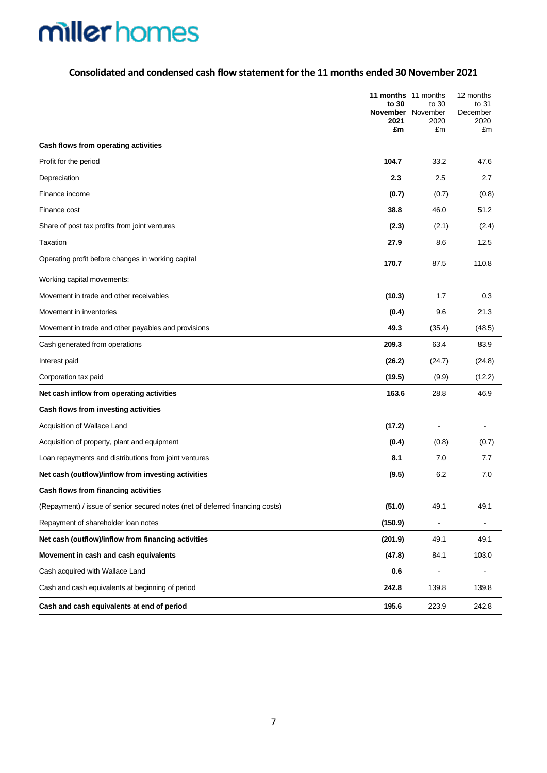### **Consolidated and condensed cash flow statement for the 11 months ended 30 November 2021**

|                                                                               | 11 months 11 months<br>to 30<br><b>November</b> November<br>2021<br>£m | to 30<br>2020<br>£m | 12 months<br>to 31<br>December<br>2020<br>£m |
|-------------------------------------------------------------------------------|------------------------------------------------------------------------|---------------------|----------------------------------------------|
| Cash flows from operating activities                                          |                                                                        |                     |                                              |
| Profit for the period                                                         | 104.7                                                                  | 33.2                | 47.6                                         |
| Depreciation                                                                  | 2.3                                                                    | 2.5                 | 2.7                                          |
| Finance income                                                                | (0.7)                                                                  | (0.7)               | (0.8)                                        |
| Finance cost                                                                  | 38.8                                                                   | 46.0                | 51.2                                         |
| Share of post tax profits from joint ventures                                 | (2.3)                                                                  | (2.1)               | (2.4)                                        |
| Taxation                                                                      | 27.9                                                                   | 8.6                 | 12.5                                         |
| Operating profit before changes in working capital                            | 170.7                                                                  | 87.5                | 110.8                                        |
| Working capital movements:                                                    |                                                                        |                     |                                              |
| Movement in trade and other receivables                                       | (10.3)                                                                 | 1.7                 | 0.3                                          |
| Movement in inventories                                                       | (0.4)                                                                  | 9.6                 | 21.3                                         |
| Movement in trade and other payables and provisions                           | 49.3                                                                   | (35.4)              | (48.5)                                       |
| Cash generated from operations                                                | 209.3                                                                  | 63.4                | 83.9                                         |
| Interest paid                                                                 | (26.2)                                                                 | (24.7)              | (24.8)                                       |
| Corporation tax paid                                                          | (19.5)                                                                 | (9.9)               | (12.2)                                       |
| Net cash inflow from operating activities                                     | 163.6                                                                  | 28.8                | 46.9                                         |
| Cash flows from investing activities                                          |                                                                        |                     |                                              |
| Acquisition of Wallace Land                                                   | (17.2)                                                                 |                     |                                              |
| Acquisition of property, plant and equipment                                  | (0.4)                                                                  | (0.8)               | (0.7)                                        |
| Loan repayments and distributions from joint ventures                         | 8.1                                                                    | 7.0                 | 7.7                                          |
| Net cash (outflow)/inflow from investing activities                           | (9.5)                                                                  | 6.2                 | 7.0                                          |
| Cash flows from financing activities                                          |                                                                        |                     |                                              |
| (Repayment) / issue of senior secured notes (net of deferred financing costs) | (51.0)                                                                 | 49.1                | 49.1                                         |
| Repayment of shareholder loan notes                                           | (150.9)                                                                |                     |                                              |
| Net cash (outflow)/inflow from financing activities                           | (201.9)                                                                | 49.1                | 49.1                                         |
| Movement in cash and cash equivalents                                         | (47.8)                                                                 | 84.1                | 103.0                                        |
| Cash acquired with Wallace Land                                               | 0.6                                                                    |                     |                                              |
| Cash and cash equivalents at beginning of period                              | 242.8                                                                  | 139.8               | 139.8                                        |
| Cash and cash equivalents at end of period                                    | 195.6                                                                  | 223.9               | 242.8                                        |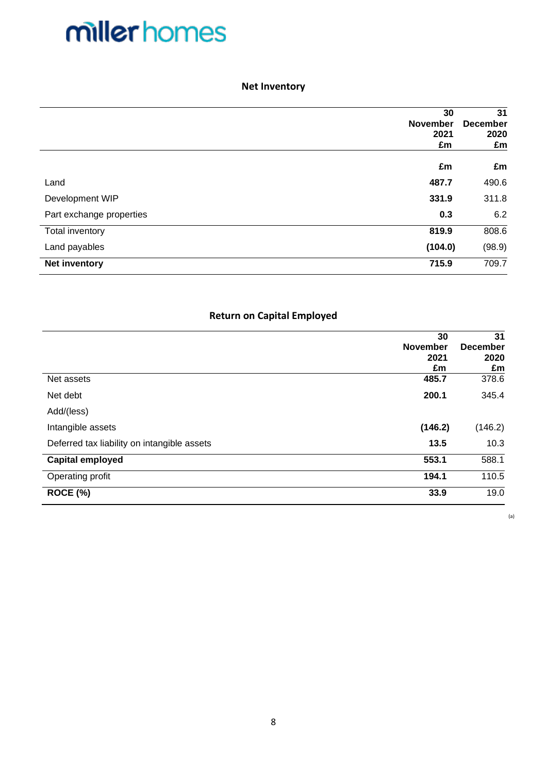### **Net Inventory**

|                          | 30<br>November<br>2021<br>£m | 31<br><b>December</b><br>2020<br>£m |
|--------------------------|------------------------------|-------------------------------------|
|                          | £m                           | £m                                  |
| Land                     | 487.7                        | 490.6                               |
| Development WIP          | 331.9                        | 311.8                               |
| Part exchange properties | 0.3                          | 6.2                                 |
| Total inventory          | 819.9                        | 808.6                               |
| Land payables            | (104.0)                      | (98.9)                              |
| <b>Net inventory</b>     | 715.9                        | 709.7                               |

### **Return on Capital Employed**

|                                             | 30              | 31              |
|---------------------------------------------|-----------------|-----------------|
|                                             | <b>November</b> | <b>December</b> |
|                                             | 2021            | 2020            |
|                                             | £m              | £m              |
| Net assets                                  | 485.7           | 378.6           |
| Net debt                                    | 200.1           | 345.4           |
| Add/(less)                                  |                 |                 |
| Intangible assets                           | (146.2)         | (146.2)         |
| Deferred tax liability on intangible assets | 13.5            | 10.3            |
| <b>Capital employed</b>                     | 553.1           | 588.1           |
| Operating profit                            | 194.1           | 110.5           |
| ROCE (%)                                    | 33.9            | 19.0            |

(a)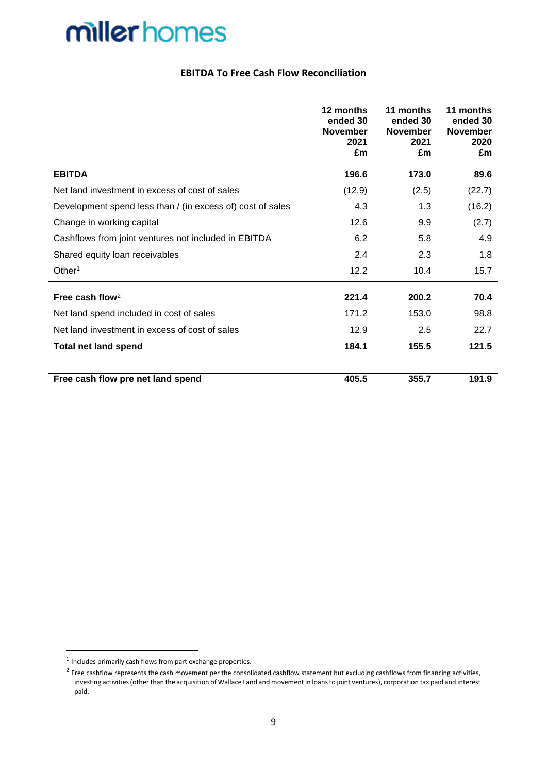### **EBITDA To Free Cash Flow Reconciliation**

|                                                            | 12 months<br>ended 30<br><b>November</b><br>2021<br>£m | 11 months<br>ended 30<br><b>November</b><br>2021<br>£m | 11 months<br>ended 30<br><b>November</b><br>2020<br>£m |
|------------------------------------------------------------|--------------------------------------------------------|--------------------------------------------------------|--------------------------------------------------------|
| <b>EBITDA</b>                                              | 196.6                                                  | 173.0                                                  | 89.6                                                   |
| Net land investment in excess of cost of sales             | (12.9)                                                 | (2.5)                                                  | (22.7)                                                 |
| Development spend less than / (in excess of) cost of sales | 4.3                                                    | 1.3                                                    | (16.2)                                                 |
| Change in working capital                                  | 12.6                                                   | 9.9                                                    | (2.7)                                                  |
| Cashflows from joint ventures not included in EBITDA       | 6.2                                                    | 5.8                                                    | 4.9                                                    |
| Shared equity loan receivables                             | 2.4                                                    | 2.3                                                    | 1.8                                                    |
| Other <sup>1</sup>                                         | 12.2                                                   | 10.4                                                   | 15.7                                                   |
| Free cash flow <sup>2</sup>                                | 221.4                                                  | 200.2                                                  | 70.4                                                   |
| Net land spend included in cost of sales                   | 171.2                                                  | 153.0                                                  | 98.8                                                   |
| Net land investment in excess of cost of sales             | 12.9                                                   | 2.5                                                    | 22.7                                                   |
| <b>Total net land spend</b>                                | 184.1                                                  | 155.5                                                  | 121.5                                                  |
| Free cash flow pre net land spend                          | 405.5                                                  | 355.7                                                  | 191.9                                                  |

 $1$  Includes primarily cash flows from part exchange properties.

<sup>&</sup>lt;sup>2</sup> Free cashflow represents the cash movement per the consolidated cashflow statement but excluding cashflows from financing activities, investing activities (other than the acquisition of Wallace Land and movement in loans to joint ventures), corporation tax paid and interest paid.